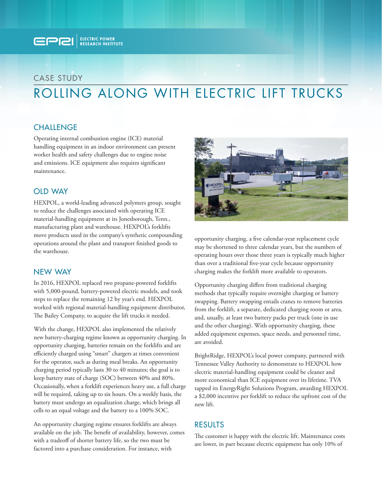

# CASE STUDY ROLLING ALONG WITH ELECTRIC LIFT TRUCKS

## **CHALLENGE**

Operating internal combustion engine (ICE) material handling equipment in an indoor environment can present worker health and safety challenges due to engine noise and emissions. ICE equipment also requires significant maintenance.

#### OLD WAY

HEXPOL, a world-leading advanced polymers group, sought to reduce the challenges associated with operating ICE material-handling equipment at its Jonesborough, Tenn., manufacturing plant and warehouse. HEXPOL's forklifts move products used in the company's synthetic compounding operations around the plant and transport finished goods to the warehouse.

#### NEW WAY

In 2016, HEXPOL replaced two propane-powered forklifts with 5,000-pound, battery-powered electric models, and took steps to replace the remaining 12 by year's end. HEXPOL worked with regional material-handling equipment distributor, The Bailey Company, to acquire the lift trucks it needed.

With the change, HEXPOL also implemented the relatively new battery-charging regime known as opportunity charging. In opportunity charging, batteries remain on the forklifts and are efficiently charged using "smart" chargers at times convenient for the operator, such as during meal breaks. An opportunity charging period typically lasts 30 to 40 minutes; the goal is to keep battery state of charge (SOC) between 40% and 80%. Occasionally, when a forklift experiences heavy use, a full charge will be required, taking up to six hours. On a weekly basis, the battery must undergo an equalization charge, which brings all cells to an equal voltage and the battery to a 100% SOC.

An opportunity charging regime ensures forklifts are always available on the job. The benefit of availability, however, comes with a tradeoff of shorter battery life, so the two must be factored into a purchase consideration. For instance, with



opportunity charging, a five calendar-year replacement cycle may be shortened to three calendar years, but the numbers of operating hours over those three years is typically much higher than over a traditional five-year cycle because opportunity charging makes the forklift more available to operators.

Opportunity charging differs from traditional charging methods that typically require overnight charging or battery swapping. Battery swapping entails cranes to remove batteries from the forklift, a separate, dedicated charging room or area, and, usually, at least two battery packs per truck (one in use and the other charging). With opportunity charging, these added equipment expenses, space needs, and personnel time, are avoided.

BrightRidge, HEXPOL's local power company, partnered with Tennessee Valley Authority to demonstrate to HEXPOL how electric material-handling equipment could be cleaner and more economical than ICE equipment over its lifetime. TVA tapped its EnergyRight Solutions Program, awarding HEXPOL a \$2,000 incentive per forklift to reduce the upfront cost of the new lift.

#### RESULTS

The customer is happy with the electric lift. Maintenance costs are lower, in part because electric equipment has only 10% of